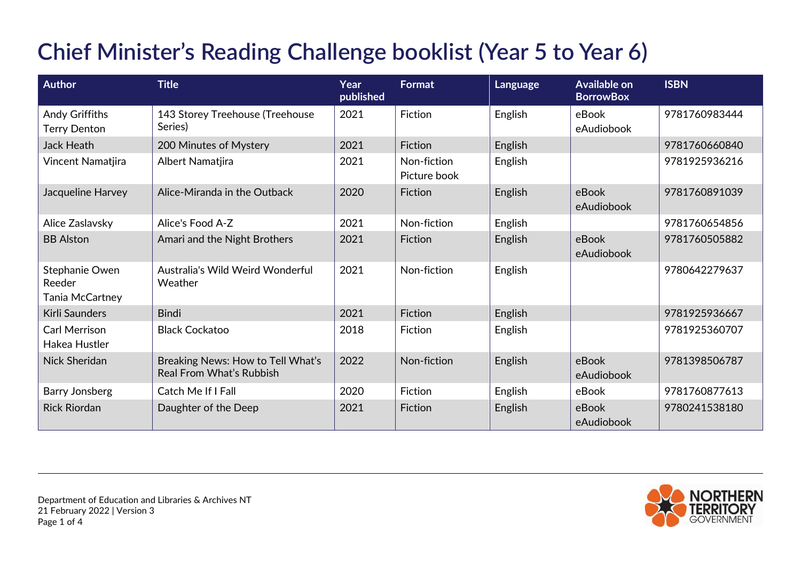## **Chief Minister's Reading Challenge booklist (Year 5 to Year 6)**

| <b>Author</b>                               | <b>Title</b>                                                         | Year<br>published | Format                      | Language | Available on<br><b>BorrowBox</b> | <b>ISBN</b>   |
|---------------------------------------------|----------------------------------------------------------------------|-------------------|-----------------------------|----------|----------------------------------|---------------|
| Andy Griffiths<br><b>Terry Denton</b>       | 143 Storey Treehouse (Treehouse<br>Series)                           | 2021              | Fiction                     | English  | eBook<br>eAudiobook              | 9781760983444 |
| <b>Jack Heath</b>                           | 200 Minutes of Mystery                                               | 2021              | Fiction                     | English  |                                  | 9781760660840 |
| Vincent Namatjira                           | Albert Namatjira                                                     | 2021              | Non-fiction<br>Picture book | English  |                                  | 9781925936216 |
| Jacqueline Harvey                           | Alice-Miranda in the Outback                                         | 2020              | Fiction                     | English  | eBook<br>eAudiobook              | 9781760891039 |
| Alice Zaslavsky                             | Alice's Food A-Z                                                     | 2021              | Non-fiction                 | English  |                                  | 9781760654856 |
| <b>BB Alston</b>                            | Amari and the Night Brothers                                         | 2021              | Fiction                     | English  | eBook<br>eAudiobook              | 9781760505882 |
| Stephanie Owen<br>Reeder<br>Tania McCartney | Australia's Wild Weird Wonderful<br>Weather                          | 2021              | Non-fiction                 | English  |                                  | 9780642279637 |
| Kirli Saunders                              | <b>Bindi</b>                                                         | 2021              | Fiction                     | English  |                                  | 9781925936667 |
| <b>Carl Merrison</b><br>Hakea Hustler       | <b>Black Cockatoo</b>                                                | 2018              | Fiction                     | English  |                                  | 9781925360707 |
| Nick Sheridan                               | Breaking News: How to Tell What's<br><b>Real From What's Rubbish</b> | 2022              | Non-fiction                 | English  | eBook<br>eAudiobook              | 9781398506787 |
| <b>Barry Jonsberg</b>                       | Catch Me If I Fall                                                   | 2020              | Fiction                     | English  | eBook                            | 9781760877613 |
| <b>Rick Riordan</b>                         | Daughter of the Deep                                                 | 2021              | Fiction                     | English  | eBook<br>eAudiobook              | 9780241538180 |

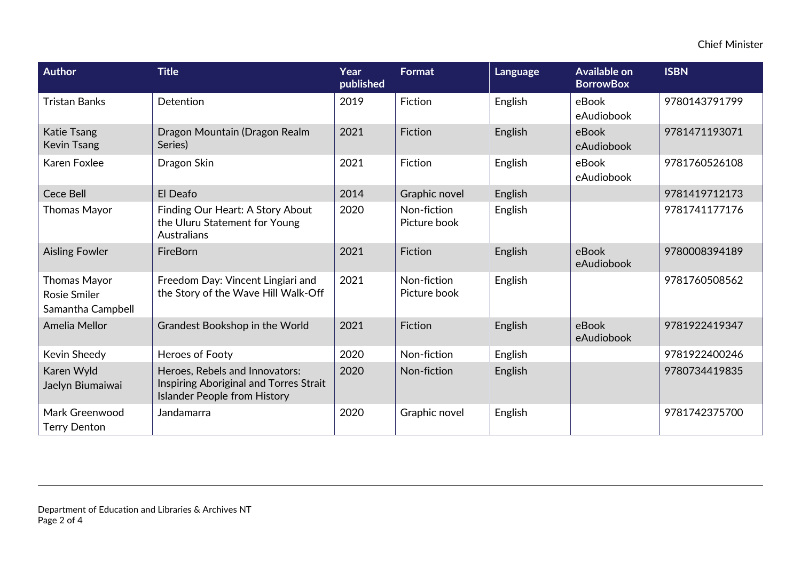| Author                                                   | <b>Title</b>                                                                                                    | Year<br>published | <b>Format</b>               | Language | <b>Available on</b><br><b>BorrowBox</b> | <b>ISBN</b>   |
|----------------------------------------------------------|-----------------------------------------------------------------------------------------------------------------|-------------------|-----------------------------|----------|-----------------------------------------|---------------|
| <b>Tristan Banks</b>                                     | Detention                                                                                                       | 2019              | Fiction                     | English  | eBook<br>eAudiobook                     | 9780143791799 |
| Katie Tsang<br><b>Kevin Tsang</b>                        | Dragon Mountain (Dragon Realm<br>Series)                                                                        | 2021              | Fiction                     | English  | eBook<br>eAudiobook                     | 9781471193071 |
| Karen Foxlee                                             | Dragon Skin                                                                                                     | 2021              | Fiction                     | English  | eBook<br>eAudiobook                     | 9781760526108 |
| <b>Cece Bell</b>                                         | El Deafo                                                                                                        | 2014              | Graphic novel               | English  |                                         | 9781419712173 |
| <b>Thomas Mayor</b>                                      | Finding Our Heart: A Story About<br>the Uluru Statement for Young<br>Australians                                | 2020              | Non-fiction<br>Picture book | English  |                                         | 9781741177176 |
| <b>Aisling Fowler</b>                                    | FireBorn                                                                                                        | 2021              | Fiction                     | English  | eBook<br>eAudiobook                     | 9780008394189 |
| <b>Thomas Mayor</b><br>Rosie Smiler<br>Samantha Campbell | Freedom Day: Vincent Lingiari and<br>the Story of the Wave Hill Walk-Off                                        | 2021              | Non-fiction<br>Picture book | English  |                                         | 9781760508562 |
| Amelia Mellor                                            | Grandest Bookshop in the World                                                                                  | 2021              | Fiction                     | English  | eBook<br>eAudiobook                     | 9781922419347 |
| Kevin Sheedy                                             | <b>Heroes of Footy</b>                                                                                          | 2020              | Non-fiction                 | English  |                                         | 9781922400246 |
| Karen Wyld<br>Jaelyn Biumaiwai                           | Heroes, Rebels and Innovators:<br>Inspiring Aboriginal and Torres Strait<br><b>Islander People from History</b> | 2020              | Non-fiction                 | English  |                                         | 9780734419835 |
| Mark Greenwood<br><b>Terry Denton</b>                    | Jandamarra                                                                                                      | 2020              | Graphic novel               | English  |                                         | 9781742375700 |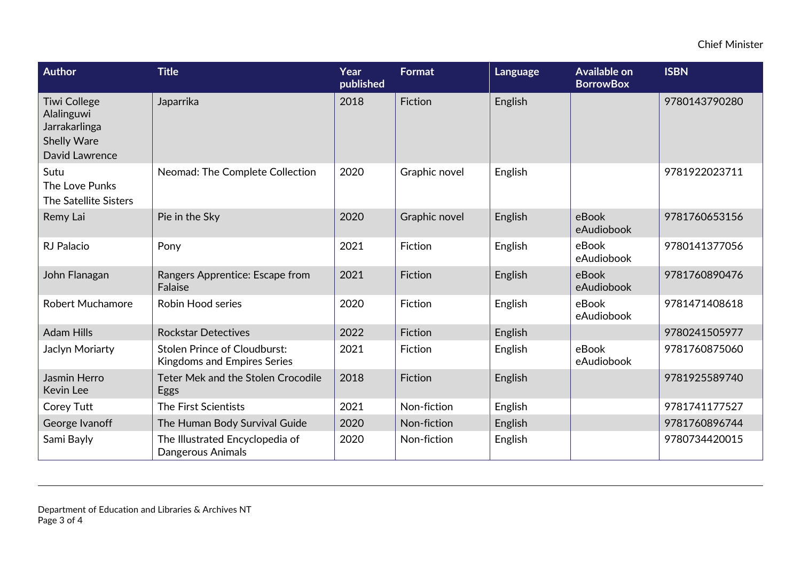| Author                                                                                            | <b>Title</b>                                                              | Year<br>published | Format        | Language | <b>Available on</b><br><b>BorrowBox</b> | <b>ISBN</b>   |
|---------------------------------------------------------------------------------------------------|---------------------------------------------------------------------------|-------------------|---------------|----------|-----------------------------------------|---------------|
| <b>Tiwi College</b><br>Alalinguwi<br>Jarrakarlinga<br><b>Shelly Ware</b><br><b>David Lawrence</b> | Japarrika                                                                 | 2018              | Fiction       | English  |                                         | 9780143790280 |
| Sutu<br>The Love Punks<br>The Satellite Sisters                                                   | Neomad: The Complete Collection                                           | 2020              | Graphic novel | English  |                                         | 9781922023711 |
| Remy Lai                                                                                          | Pie in the Sky                                                            | 2020              | Graphic novel | English  | eBook<br>eAudiobook                     | 9781760653156 |
| <b>RJ Palacio</b>                                                                                 | Pony                                                                      | 2021              | Fiction       | English  | eBook<br>eAudiobook                     | 9780141377056 |
| John Flanagan                                                                                     | Rangers Apprentice: Escape from<br>Falaise                                | 2021              | Fiction       | English  | eBook<br>eAudiobook                     | 9781760890476 |
| <b>Robert Muchamore</b>                                                                           | <b>Robin Hood series</b>                                                  | 2020              | Fiction       | English  | eBook<br>eAudiobook                     | 9781471408618 |
| <b>Adam Hills</b>                                                                                 | <b>Rockstar Detectives</b>                                                | 2022              | Fiction       | English  |                                         | 9780241505977 |
| Jaclyn Moriarty                                                                                   | <b>Stolen Prince of Cloudburst:</b><br><b>Kingdoms and Empires Series</b> | 2021              | Fiction       | English  | eBook<br>eAudiobook                     | 9781760875060 |
| Jasmin Herro<br>Kevin Lee                                                                         | Teter Mek and the Stolen Crocodile<br>Eggs                                | 2018              | Fiction       | English  |                                         | 9781925589740 |
| Corey Tutt                                                                                        | The First Scientists                                                      | 2021              | Non-fiction   | English  |                                         | 9781741177527 |
| George Ivanoff                                                                                    | The Human Body Survival Guide                                             | 2020              | Non-fiction   | English  |                                         | 9781760896744 |
| Sami Bayly                                                                                        | The Illustrated Encyclopedia of<br>Dangerous Animals                      | 2020              | Non-fiction   | English  |                                         | 9780734420015 |